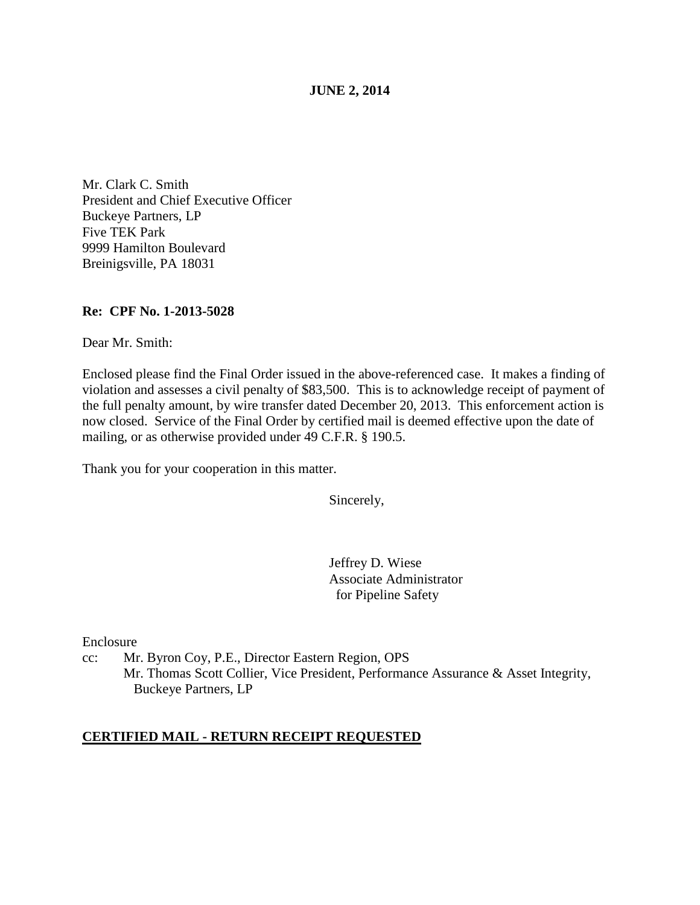### **JUNE 2, 2014**

Mr. Clark C. Smith President and Chief Executive Officer Buckeye Partners, LP Five TEK Park 9999 Hamilton Boulevard Breinigsville, PA 18031

#### **Re: CPF No. 1-2013-5028**

Dear Mr. Smith:

Enclosed please find the Final Order issued in the above-referenced case. It makes a finding of violation and assesses a civil penalty of \$83,500. This is to acknowledge receipt of payment of the full penalty amount, by wire transfer dated December 20, 2013. This enforcement action is now closed. Service of the Final Order by certified mail is deemed effective upon the date of mailing, or as otherwise provided under 49 C.F.R. § 190.5.

Thank you for your cooperation in this matter.

Sincerely,

Jeffrey D. Wiese Associate Administrator for Pipeline Safety

Enclosure

cc: Mr. Byron Coy, P.E., Director Eastern Region, OPS Mr. Thomas Scott Collier, Vice President, Performance Assurance & Asset Integrity, Buckeye Partners, LP

#### **CERTIFIED MAIL - RETURN RECEIPT REQUESTED**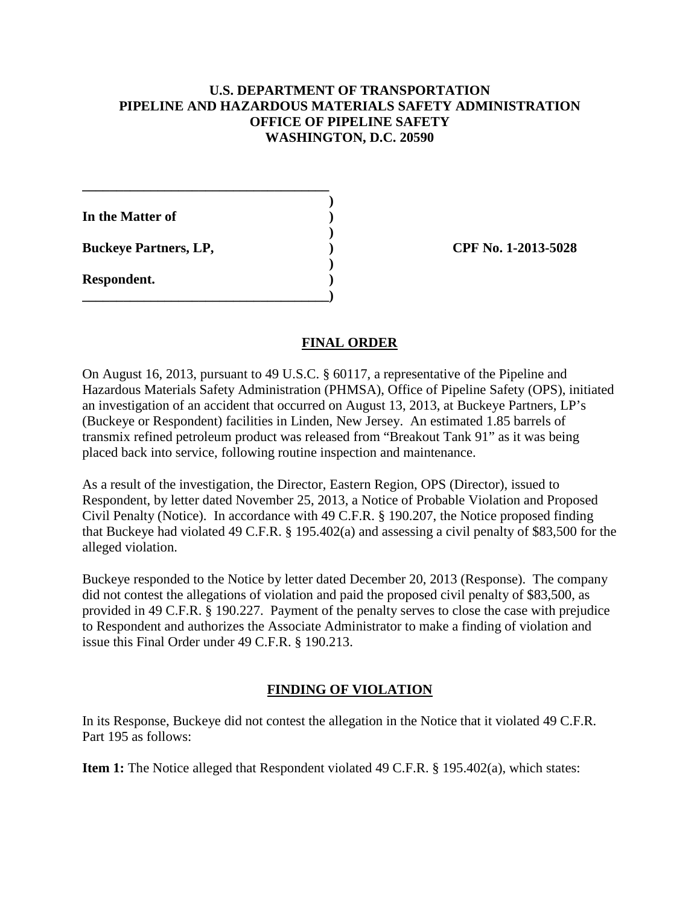## **U.S. DEPARTMENT OF TRANSPORTATION PIPELINE AND HAZARDOUS MATERIALS SAFETY ADMINISTRATION OFFICE OF PIPELINE SAFETY WASHINGTON, D.C. 20590**

**In the Matter of )** 

**Buckeye Partners, LP,**  (2013-5028)

**\_\_\_\_\_\_\_\_\_\_\_\_\_\_\_\_\_\_\_\_\_\_\_\_\_\_\_\_\_\_\_\_\_\_\_\_ )** 

 **)** 

 **)** 

**\_\_\_\_\_\_\_\_\_\_\_\_\_\_\_\_\_\_\_\_\_\_\_\_\_\_\_\_\_\_\_\_\_\_\_\_)** 

**Respondent. )** 

## **FINAL ORDER**

On August 16, 2013, pursuant to 49 U.S.C. § 60117, a representative of the Pipeline and Hazardous Materials Safety Administration (PHMSA), Office of Pipeline Safety (OPS), initiated an investigation of an accident that occurred on August 13, 2013, at Buckeye Partners, LP's (Buckeye or Respondent) facilities in Linden, New Jersey. An estimated 1.85 barrels of transmix refined petroleum product was released from "Breakout Tank 91" as it was being placed back into service, following routine inspection and maintenance.

As a result of the investigation, the Director, Eastern Region, OPS (Director), issued to Respondent, by letter dated November 25, 2013, a Notice of Probable Violation and Proposed Civil Penalty (Notice). In accordance with 49 C.F.R. § 190.207, the Notice proposed finding that Buckeye had violated 49 C.F.R. § 195.402(a) and assessing a civil penalty of \$83,500 for the alleged violation.

Buckeye responded to the Notice by letter dated December 20, 2013 (Response). The company did not contest the allegations of violation and paid the proposed civil penalty of \$83,500, as provided in 49 C.F.R. § 190.227. Payment of the penalty serves to close the case with prejudice to Respondent and authorizes the Associate Administrator to make a finding of violation and issue this Final Order under 49 C.F.R. § 190.213.

# **FINDING OF VIOLATION**

In its Response, Buckeye did not contest the allegation in the Notice that it violated 49 C.F.R. Part 195 as follows:

**Item 1:** The Notice alleged that Respondent violated 49 C.F.R. § 195.402(a), which states: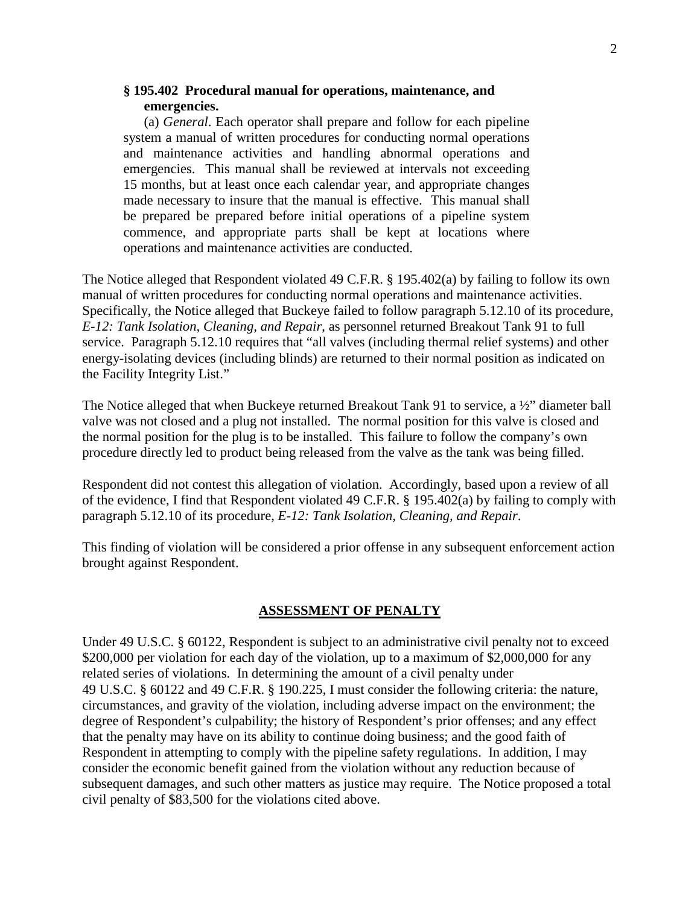### **§ 195.402 Procedural manual for operations, maintenance, and emergencies.**

(a) *General*. Each operator shall prepare and follow for each pipeline system a manual of written procedures for conducting normal operations and maintenance activities and handling abnormal operations and emergencies. This manual shall be reviewed at intervals not exceeding 15 months, but at least once each calendar year, and appropriate changes made necessary to insure that the manual is effective. This manual shall be prepared be prepared before initial operations of a pipeline system commence, and appropriate parts shall be kept at locations where operations and maintenance activities are conducted.

The Notice alleged that Respondent violated 49 C.F.R. § 195.402(a) by failing to follow its own manual of written procedures for conducting normal operations and maintenance activities. Specifically, the Notice alleged that Buckeye failed to follow paragraph 5.12.10 of its procedure, *E-12: Tank Isolation, Cleaning, and Repair*, as personnel returned Breakout Tank 91 to full service. Paragraph 5.12.10 requires that "all valves (including thermal relief systems) and other energy-isolating devices (including blinds) are returned to their normal position as indicated on the Facility Integrity List."

The Notice alleged that when Buckeye returned Breakout Tank 91 to service, a ½" diameter ball valve was not closed and a plug not installed. The normal position for this valve is closed and the normal position for the plug is to be installed. This failure to follow the company's own procedure directly led to product being released from the valve as the tank was being filled.

Respondent did not contest this allegation of violation. Accordingly, based upon a review of all of the evidence, I find that Respondent violated 49 C.F.R. § 195.402(a) by failing to comply with paragraph 5.12.10 of its procedure, *E-12: Tank Isolation, Cleaning, and Repair*.

This finding of violation will be considered a prior offense in any subsequent enforcement action brought against Respondent.

### **ASSESSMENT OF PENALTY**

Under 49 U.S.C. § 60122, Respondent is subject to an administrative civil penalty not to exceed \$200,000 per violation for each day of the violation, up to a maximum of \$2,000,000 for any related series of violations. In determining the amount of a civil penalty under 49 U.S.C. § 60122 and 49 C.F.R. § 190.225, I must consider the following criteria: the nature, circumstances, and gravity of the violation, including adverse impact on the environment; the degree of Respondent's culpability; the history of Respondent's prior offenses; and any effect that the penalty may have on its ability to continue doing business; and the good faith of Respondent in attempting to comply with the pipeline safety regulations. In addition, I may consider the economic benefit gained from the violation without any reduction because of subsequent damages, and such other matters as justice may require. The Notice proposed a total civil penalty of \$83,500 for the violations cited above.